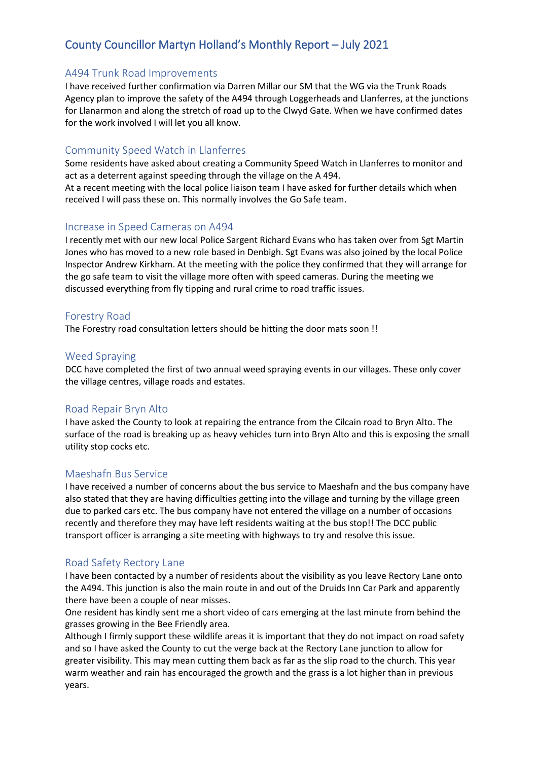# County Councillor Martyn Holland's Monthly Report – July 2021

#### A494 Trunk Road Improvements

I have received further confirmation via Darren Millar our SM that the WG via the Trunk Roads Agency plan to improve the safety of the A494 through Loggerheads and Llanferres, at the junctions for Llanarmon and along the stretch of road up to the Clwyd Gate. When we have confirmed dates for the work involved I will let you all know.

### Community Speed Watch in Llanferres

Some residents have asked about creating a Community Speed Watch in Llanferres to monitor and act as a deterrent against speeding through the village on the A 494.

At a recent meeting with the local police liaison team I have asked for further details which when received I will pass these on. This normally involves the Go Safe team.

#### Increase in Speed Cameras on A494

I recently met with our new local Police Sargent Richard Evans who has taken over from Sgt Martin Jones who has moved to a new role based in Denbigh. Sgt Evans was also joined by the local Police Inspector Andrew Kirkham. At the meeting with the police they confirmed that they will arrange for the go safe team to visit the village more often with speed cameras. During the meeting we discussed everything from fly tipping and rural crime to road traffic issues.

#### Forestry Road

The Forestry road consultation letters should be hitting the door mats soon !!

#### Weed Spraying

DCC have completed the first of two annual weed spraying events in our villages. These only cover the village centres, village roads and estates.

## Road Repair Bryn Alto

I have asked the County to look at repairing the entrance from the Cilcain road to Bryn Alto. The surface of the road is breaking up as heavy vehicles turn into Bryn Alto and this is exposing the small utility stop cocks etc.

#### Maeshafn Bus Service

I have received a number of concerns about the bus service to Maeshafn and the bus company have also stated that they are having difficulties getting into the village and turning by the village green due to parked cars etc. The bus company have not entered the village on a number of occasions recently and therefore they may have left residents waiting at the bus stop!! The DCC public transport officer is arranging a site meeting with highways to try and resolve this issue.

## Road Safety Rectory Lane

I have been contacted by a number of residents about the visibility as you leave Rectory Lane onto the A494. This junction is also the main route in and out of the Druids Inn Car Park and apparently there have been a couple of near misses.

One resident has kindly sent me a short video of cars emerging at the last minute from behind the grasses growing in the Bee Friendly area.

Although I firmly support these wildlife areas it is important that they do not impact on road safety and so I have asked the County to cut the verge back at the Rectory Lane junction to allow for greater visibility. This may mean cutting them back as far as the slip road to the church. This year warm weather and rain has encouraged the growth and the grass is a lot higher than in previous years.